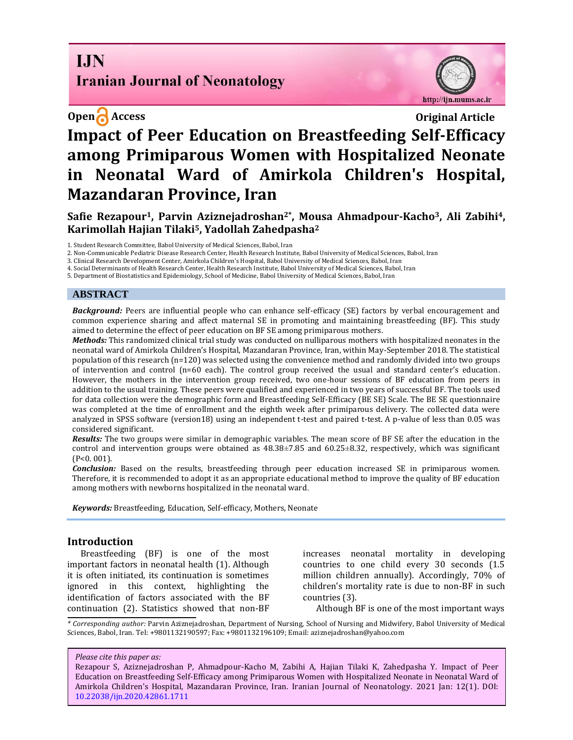# **I.IN Iranian Journal of Neonatology**



# **Open Access Original Article Impact of Peer Education on Breastfeeding Self-Efficacy among Primiparous Women with Hospitalized Neonate in Neonatal Ward of Amirkola Children's Hospital, Mazandaran Province, Iran**

**Safie Rezapour1, Parvin Aziznejadroshan2\*, Mousa Ahmadpour-Kacho3, Ali Zabihi4, Karimollah Hajian Tilaki5, Yadollah Zahedpasha<sup>2</sup>**

1. Student Research Committee, Babol University of Medical Sciences, Babol, Iran

2. Non-Communicable Pediatric Disease Research Center, Health Research Institute, Babol University of Medical Sciences, Babol, Iran

3. Clinical Research Development Center, Amirkola Children's Hospital, Babol University of Medical Sciences, Babol, Iran

4. Social Determinants of Health Research Center, Health Research Institute, Babol University of Medical Sciences, Babol, Iran

5. Department of Biostatistics and Epidemiology, School of Medicine, Babol University of Medical Sciences, Babol, Iran

### **ABSTRACT**

*Background:* Peers are influential people who can enhance self-efficacy (SE) factors by verbal encouragement and common experience sharing and affect maternal SE in promoting and maintaining breastfeeding (BF). This study aimed to determine the effect of peer education on BF SE among primiparous mothers.

*Methods:* This randomized clinical trial study was conducted on nulliparous mothers with hospitalized neonates in the neonatal ward of Amirkola Children's Hospital, Mazandaran Province, Iran, within May-September 2018. The statistical population of this research (n=120) was selected using the convenience method and randomly divided into two groups of intervention and control (n=60 each). The control group received the usual and standard center's education. However, the mothers in the intervention group received, two one-hour sessions of BF education from peers in addition to the usual training. These peers were qualified and experienced in two years of successful BF. The tools used for data collection were the demographic form and Breastfeeding Self-Efficacy (BE SE) Scale. The BE SE questionnaire was completed at the time of enrollment and the eighth week after primiparous delivery. The collected data were analyzed in SPSS software (version18) using an independent t-test and paired t-test. A p-value of less than 0.05 was considered significant.

*Results:* The two groups were similar in demographic variables. The mean score of BF SE after the education in the control and intervention groups were obtained as 48.38±7.85 and 60.25±8.32, respectively, which was significant (P<0. 001).

*Conclusion:* Based on the results, breastfeeding through peer education increased SE in primiparous women. Therefore, it is recommended to adopt it as an appropriate educational method to improve the quality of BF education among mothers with newborns hospitalized in the neonatal ward.

*Keywords:* Breastfeeding, Education, Self-efficacy, Mothers, Neonate

## **Introduction**

Breastfeeding (BF) is one of the most important factors in neonatal health (1). Although it is often initiated, its continuation is sometimes ignored in this context, highlighting the identification of factors associated with the BF continuation (2). Statistics showed that non-BF increases neonatal mortality in developing countries to one child every 30 seconds (1.5 million children annually). Accordingly, 70% of children's mortality rate is due to non-BF in such countries (3).

Although BF is one of the most important ways

*\* Corresponding author:* Parvin Aziznejadroshan, Department of Nursing, School of Nursing and Midwifery, Babol University of Medical Sciences, Babol, Iran. Tel: +9801132190597; Fax: +9801132196109; Email: [aziznejadroshan@yahoo.com](mailto:aziznejadroshan@yahoo.com)

*Please cite this paper as:*

Rezapour S, Aziznejadroshan P, Ahmadpour-Kacho M, Zabihi A, Hajian Tilaki K, Zahedpasha Y. Impact of Peer Education on Breastfeeding Self-Efficacy among Primiparous Women with Hospitalized Neonate in Neonatal Ward of Amirkola Children's Hospital, Mazandaran Province, Iran. Iranian Journal of Neonatology. 2021 Jan: 12(1). DOI: [10.22038/ijn.2020.42861.1711](https://ijn.mums.ac.ir/)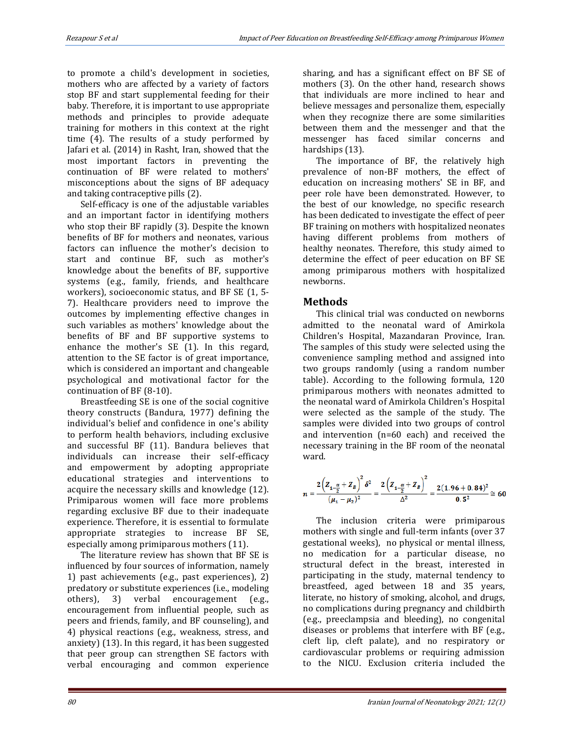to promote a child's development in societies, mothers who are affected by a variety of factors stop BF and start supplemental feeding for their baby. Therefore, it is important to use appropriate methods and principles to provide adequate training for mothers in this context at the right time (4). The results of a study performed by Jafari et al. (2014) in Rasht, Iran, showed that the most important factors in preventing the continuation of BF were related to mothers' misconceptions about the signs of BF adequacy and taking contraceptive pills (2).

Self-efficacy is one of the adjustable variables and an important factor in identifying mothers who stop their BF rapidly (3). Despite the known benefits of BF for mothers and neonates, various factors can influence the mother's decision to start and continue BF, such as mother's knowledge about the benefits of BF, supportive systems (e.g., family, friends, and healthcare workers), socioeconomic status, and BF SE (1, 5- 7). Healthcare providers need to improve the outcomes by implementing effective changes in such variables as mothers' knowledge about the benefits of BF and BF supportive systems to enhance the mother's SE (1). In this regard, attention to the SE factor is of great importance, which is considered an important and changeable psychological and motivational factor for the continuation of BF (8-10).

Breastfeeding SE is one of the social cognitive theory constructs (Bandura, 1977) defining the individual's belief and confidence in one's ability to perform health behaviors, including exclusive and successful BF (11). Bandura believes that individuals can increase their self-efficacy and empowerment by adopting appropriate educational strategies and interventions to acquire the necessary skills and knowledge (12). Primiparous women will face more problems regarding exclusive BF due to their inadequate experience. Therefore, it is essential to formulate appropriate strategies to increase BF SE, especially among primiparous mothers (11).

The literature review has shown that BF SE is influenced by four sources of information, namely 1) past achievements (e.g., past experiences), 2) predatory or substitute experiences (i.e., modeling others), 3) verbal encouragement (e.g., encouragement from influential people, such as peers and friends, family, and BF counseling), and 4) physical reactions (e.g., weakness, stress, and anxiety) (13). In this regard, it has been suggested that peer group can strengthen SE factors with verbal encouraging and common experience sharing, and has a significant effect on BF SE of mothers (3). On the other hand, research shows that individuals are more inclined to hear and believe messages and personalize them, especially when they recognize there are some similarities between them and the messenger and that the messenger has faced similar concerns and hardships (13).

The importance of BF, the relatively high prevalence of non-BF mothers, the effect of education on increasing mothers' SE in BF, and peer role have been demonstrated. However, to the best of our knowledge, no specific research has been dedicated to investigate the effect of peer BF training on mothers with hospitalized neonates having different problems from mothers of healthy neonates. Therefore, this study aimed to determine the effect of peer education on BF SE among primiparous mothers with hospitalized newborns.

## **Methods**

This clinical trial was conducted on newborns admitted to the neonatal ward of Amirkola Children's Hospital, Mazandaran Province, Iran. The samples of this study were selected using the convenience sampling method and assigned into two groups randomly (using a random number table). According to the following formula, 120 primiparous mothers with neonates admitted to the neonatal ward of Amirkola Children's Hospital were selected as the sample of the study. The samples were divided into two groups of control and intervention (n=60 each) and received the necessary training in the BF room of the neonatal ward.

$$
n = \frac{2\left(Z_{1-\frac{\alpha}{2}}+Z_{B}\right)^{2}\delta^{2}}{(\mu_{1}-\mu_{2})^{2}} = \frac{2\left(Z_{1-\frac{\alpha}{2}}+Z_{B}\right)^{2}}{\Delta^{2}} = \frac{2(1.96+0.84)^{2}}{0.5^{2}} \cong 60
$$

The inclusion criteria were primiparous mothers with single and full-term infants (over 37 gestational weeks), no physical or mental illness, no medication for a particular disease, no structural defect in the breast, interested in participating in the study, maternal tendency to breastfeed, aged between 18 and 35 years, literate, no history of smoking, alcohol, and drugs, no complications during pregnancy and childbirth (e.g., preeclampsia and bleeding), no congenital diseases or problems that interfere with BF (e.g., cleft lip, cleft palate), and no respiratory or cardiovascular problems or requiring admission to the NICU. Exclusion criteria included the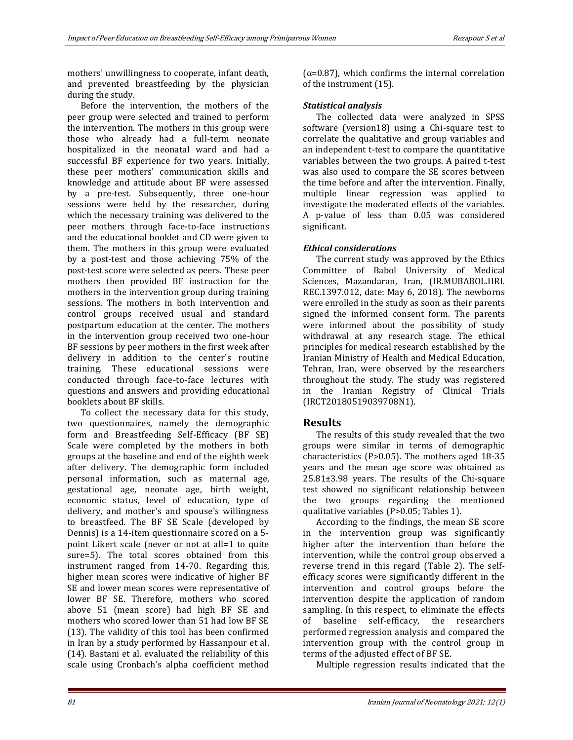mothers' unwillingness to cooperate, infant death, and prevented breastfeeding by the physician during the study.

Before the intervention, the mothers of the peer group were selected and trained to perform the intervention. The mothers in this group were those who already had a full-term neonate hospitalized in the neonatal ward and had a successful BF experience for two years. Initially, these peer mothers' communication skills and knowledge and attitude about BF were assessed by a pre-test. Subsequently, three one-hour sessions were held by the researcher, during which the necessary training was delivered to the peer mothers through face-to-face instructions and the educational booklet and CD were given to them. The mothers in this group were evaluated by a post-test and those achieving 75% of the post-test score were selected as peers. These peer mothers then provided BF instruction for the mothers in the intervention group during training sessions. The mothers in both intervention and control groups received usual and standard postpartum education at the center. The mothers in the intervention group received two one-hour BF sessions by peer mothers in the first week after delivery in addition to the center's routine training. These educational sessions were conducted through face-to-face lectures with questions and answers and providing educational booklets about BF skills.

To collect the necessary data for this study, two questionnaires, namely the demographic form and Breastfeeding Self-Efficacy (BF SE) Scale were completed by the mothers in both groups at the baseline and end of the eighth week after delivery. The demographic form included personal information, such as maternal age, gestational age, neonate age, birth weight, economic status, level of education, type of delivery, and mother's and spouse's willingness to breastfeed. The BF SE Scale (developed by Dennis) is a 14-item questionnaire scored on a 5 point Likert scale (never or not at all=1 to quite sure=5). The total scores obtained from this instrument ranged from 14-70. Regarding this, higher mean scores were indicative of higher BF SE and lower mean scores were representative of lower BF SE. Therefore, mothers who scored above 51 (mean score) had high BF SE and mothers who scored lower than 51 had low BF SE (13). The validity of this tool has been confirmed in Iran by a study performed by Hassanpour et al. (14). Bastani et al. evaluated the reliability of this scale using Cronbach's alpha coefficient method

( $\alpha$ =0.87), which confirms the internal correlation of the instrument (15).

## *Statistical analysis*

The collected data were analyzed in SPSS software (version18) using a Chi-square test to correlate the qualitative and group variables and an independent t-test to compare the quantitative variables between the two groups. A paired t-test was also used to compare the SE scores between the time before and after the intervention. Finally, multiple linear regression was applied to investigate the moderated effects of the variables. A p-value of less than 0.05 was considered significant.

## *Ethical considerations*

The current study was approved by the Ethics Committee of Babol University of Medical Sciences, Mazandaran, Iran, (IR.MUBABOL.HRI. REC.1397.012, date: May 6, 2018). The newborns were enrolled in the study as soon as their parents signed the informed consent form. The parents were informed about the possibility of study withdrawal at any research stage. The ethical principles for medical research established by the Iranian Ministry of Health and Medical Education, Tehran, Iran, were observed by the researchers throughout the study. The study was registered in the Iranian Registry of Clinical Trials (IRCT20180519039708N1).

## **Results**

The results of this study revealed that the two groups were similar in terms of demographic characteristics (P>0.05). The mothers aged 18-35 years and the mean age score was obtained as 25.81±3.98 years. The results of the Chi-square test showed no significant relationship between the two groups regarding the mentioned qualitative variables (P>0.05; Tables 1).

According to the findings, the mean SE score in the intervention group was significantly higher after the intervention than before the intervention, while the control group observed a reverse trend in this regard (Table 2). The selfefficacy scores were significantly different in the intervention and control groups before the intervention despite the application of random sampling. In this respect, to eliminate the effects of baseline self-efficacy, the researchers performed regression analysis and compared the intervention group with the control group in terms of the adjusted effect of BF SE.

Multiple regression results indicated that the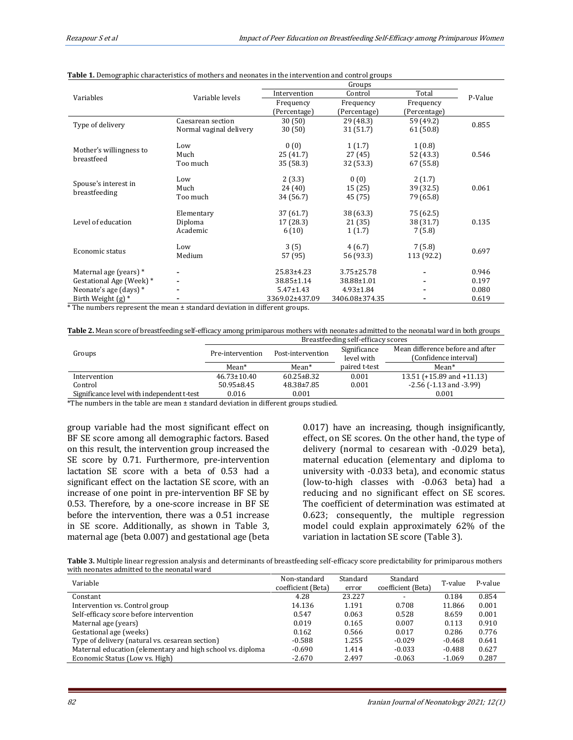|                                       | Variable levels         |                  |                  |              |         |
|---------------------------------------|-------------------------|------------------|------------------|--------------|---------|
| Variables                             |                         | Intervention     | Total<br>Control |              | P-Value |
|                                       |                         | Frequency        | Frequency        | Frequency    |         |
|                                       |                         | (Percentage)     | (Percentage)     | (Percentage) |         |
| Type of delivery                      | Caesarean section       | 30(50)           | 29 (48.3)        | 59 (49.2)    | 0.855   |
|                                       | Normal vaginal delivery | 30(50)           | 31 (51.7)        | 61 (50.8)    |         |
| Mother's willingness to<br>breastfeed | Low                     | 0(0)             | 1(1.7)           | 1(0.8)       |         |
|                                       | Much                    | 25 (41.7)        | 27(45)           | 52 (43.3)    | 0.546   |
|                                       | Too much                | 35 (58.3)        | 32 (53.3)        | 67 (55.8)    |         |
| Spouse's interest in<br>breastfeeding | Low                     | 2(3.3)           | 0(0)             | 2(1.7)       |         |
|                                       | Much                    | 24 (40)          | 15(25)           | 39 (32.5)    | 0.061   |
|                                       | Too much                | 34 (56.7)        | 45 (75)          | 79 (65.8)    |         |
| Level of education                    | Elementary              | 37 (61.7)        | 38 (63.3)        | 75 (62.5)    |         |
|                                       | Diploma                 | 17 (28.3)        | 21(35)           | 38 (31.7)    | 0.135   |
|                                       | Academic                | 6(10)            | 1(1.7)           | 7(5.8)       |         |
| Economic status                       | Low                     | 3(5)             | 4(6.7)           | 7(5.8)       |         |
|                                       | Medium                  | 57 (95)          | 56 (93.3)        | 113 (92.2)   | 0.697   |
| Maternal age (years) *                |                         | $25.83 \pm 4.23$ | $3.75 \pm 25.78$ | -            | 0.946   |
| Gestational Age (Week) *              |                         | 38.85±1.14       | 38.88±1.01       |              | 0.197   |
| Neonate's age (days) *                |                         | $5.47 \pm 1.43$  | $4.93 \pm 1.84$  |              | 0.080   |
| Birth Weight $(g)$ *                  |                         | 3369.02±437.09   | 3406.08±374.35   |              | 0.619   |

#### **Table 1.** Demographic characteristics of mothers and neonates in the intervention and control groups

\* The numbers represent the mean ± standard deviation in different groups.

| Table 2. Mean score of breastfeeding self-efficacy among primiparous mothers with neonates admitted to the neonatal ward in both groups |
|-----------------------------------------------------------------------------------------------------------------------------------------|
|-----------------------------------------------------------------------------------------------------------------------------------------|

|                                            | Breastfeeding self-efficacy scores |                   |               |                                                           |  |
|--------------------------------------------|------------------------------------|-------------------|---------------|-----------------------------------------------------------|--|
|                                            | Pre-intervention                   | Post-intervention | Significance  | Mean difference before and after<br>(Confidence interval) |  |
| Groups                                     |                                    |                   | level with    |                                                           |  |
|                                            | $Mean*$                            | Mean*             | paired t-test | Mean*                                                     |  |
| Intervention                               | $46.73 \pm 10.40$                  | $60.25 \pm 8.32$  | 0.001         | 13.51 ( $+15.89$ and $+11.13$ )                           |  |
| Control                                    | $50.95 \pm 8.45$                   | $48.38 \pm 7.85$  | 0.001         | $-2.56$ ( $-1.13$ and $-3.99$ )                           |  |
| Significance level with independent t-test | 0.016                              | 0.001             |               | 0.001                                                     |  |

\*The numbers in the table are mean ± standard deviation in different groups studied.

group variable had the most significant effect on BF SE score among all demographic factors. Based on this result, the intervention group increased the SE score by 0.71. Furthermore, pre-intervention lactation SE score with a beta of 0.53 had a significant effect on the lactation SE score, with an increase of one point in pre-intervention BF SE by 0.53. Therefore, by a one-score increase in BF SE before the intervention, there was a 0.51 increase in SE score. Additionally, as shown in Table 3, maternal age (beta 0.007) and gestational age (beta

0.017) have an increasing, though insignificantly, effect, on SE scores. On the other hand, the type of delivery (normal to cesarean with -0.029 beta), maternal education (elementary and diploma to university with -0.033 beta), and economic status (low-to-high classes with -0.063 beta) had a reducing and no significant effect on SE scores. The coefficient of determination was estimated at 0.623; consequently, the multiple regression model could explain approximately 62% of the variation in lactation SE score (Table 3).

**Table 3.** Multiple linear regression analysis and determinants of breastfeeding self-efficacy score predictability for primiparous mothers with neonates admitted to the neonatal ward

| Variable                                                   | Standard<br>Non-standard |        | Standard           | T-value  | P-value |
|------------------------------------------------------------|--------------------------|--------|--------------------|----------|---------|
|                                                            | coefficient (Beta)       | error  | coefficient (Beta) |          |         |
| Constant                                                   | 4.28                     | 23.227 |                    | 0.184    | 0.854   |
| Intervention vs. Control group                             | 14.136                   | 1.191  | 0.708              | 11.866   | 0.001   |
| Self-efficacy score before intervention                    | 0.547                    | 0.063  | 0.528              | 8.659    | 0.001   |
| Maternal age (years)                                       | 0.019                    | 0.165  | 0.007              | 0.113    | 0.910   |
| Gestational age (weeks)                                    | 0.162                    | 0.566  | 0.017              | 0.286    | 0.776   |
| Type of delivery (natural vs. cesarean section)            | $-0.588$                 | 1.255  | $-0.029$           | $-0.468$ | 0.641   |
| Maternal education (elementary and high school vs. diploma | $-0.690$                 | 1.414  | $-0.033$           | $-0.488$ | 0.627   |
| Economic Status (Low vs. High)                             | $-2.670$                 | 2.497  | $-0.063$           | $-1.069$ | 0.287   |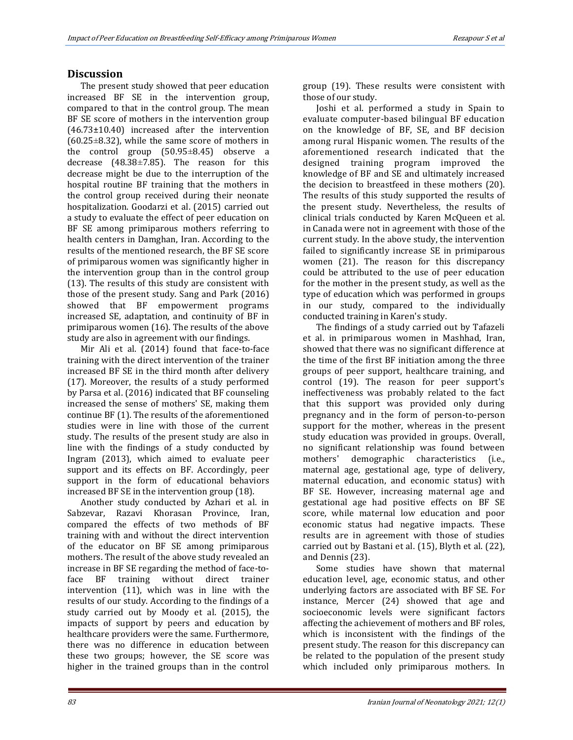## **Discussion**

The present study showed that peer education increased BF SE in the intervention group, compared to that in the control group. The mean BF SE score of mothers in the intervention group (46.73±10.40) increased after the intervention  $(60.25 \pm 8.32)$ , while the same score of mothers in the control group (50.95±8.45) observe a decrease (48.38±7.85). The reason for this decrease might be due to the interruption of the hospital routine BF training that the mothers in the control group received during their neonate hospitalization. Goodarzi et al. (2015) carried out a study to evaluate the effect of peer education on BF SE among primiparous mothers referring to health centers in Damghan, Iran. According to the results of the mentioned research, the BF SE score of primiparous women was significantly higher in the intervention group than in the control group (13). The results of this study are consistent with those of the present study. Sang and Park (2016) showed that BF empowerment programs increased SE, adaptation, and continuity of BF in primiparous women (16). The results of the above study are also in agreement with our findings.

Mir Ali et al. (2014) found that face-to-face training with the direct intervention of the trainer increased BF SE in the third month after delivery (17). Moreover, the results of a study performed by Parsa et al. (2016) indicated that BF counseling increased the sense of mothers' SE, making them continue BF (1). The results of the aforementioned studies were in line with those of the current study. The results of the present study are also in line with the findings of a study conducted by Ingram (2013), which aimed to evaluate peer support and its effects on BF. Accordingly, peer support in the form of educational behaviors increased BF SE in the intervention group (18).

Another study conducted by Azhari et al. in Sabzevar, Razavi Khorasan Province, Iran, compared the effects of two methods of BF training with and without the direct intervention of the educator on BF SE among primiparous mothers. The result of the above study revealed an increase in BF SE regarding the method of face-toface BF training without direct trainer intervention (11), which was in line with the results of our study. According to the findings of a study carried out by Moody et al. (2015), the impacts of support by peers and education by healthcare providers were the same. Furthermore, there was no difference in education between these two groups; however, the SE score was higher in the trained groups than in the control group (19). These results were consistent with those of our study.

Joshi et al. performed a study in Spain to evaluate computer-based bilingual BF education on the knowledge of BF, SE, and BF decision among rural Hispanic women. The results of the aforementioned research indicated that the designed training program improved the knowledge of BF and SE and ultimately increased the decision to breastfeed in these mothers (20). The results of this study supported the results of the present study. Nevertheless, the results of clinical trials conducted by Karen McQueen et al. in Canada were not in agreement with those of the current study. In the above study, the intervention failed to significantly increase SE in primiparous women (21). The reason for this discrepancy could be attributed to the use of peer education for the mother in the present study, as well as the type of education which was performed in groups in our study, compared to the individually conducted training in Karen's study.

The findings of a study carried out by Tafazeli et al. in primiparous women in Mashhad, Iran, showed that there was no significant difference at the time of the first BF initiation among the three groups of peer support, healthcare training, and control (19). The reason for peer support's ineffectiveness was probably related to the fact that this support was provided only during pregnancy and in the form of person-to-person support for the mother, whereas in the present study education was provided in groups. Overall, no significant relationship was found between mothers' demographic characteristics (i.e., maternal age, gestational age, type of delivery, maternal education, and economic status) with BF SE. However, increasing maternal age and gestational age had positive effects on BF SE score, while maternal low education and poor economic status had negative impacts. These results are in agreement with those of studies carried out by Bastani et al. (15), Blyth et al. (22), and Dennis (23).

Some studies have shown that maternal education level, age, economic status, and other underlying factors are associated with BF SE. For instance, Mercer (24) showed that age and socioeconomic levels were significant factors affecting the achievement of mothers and BF roles, which is inconsistent with the findings of the present study. The reason for this discrepancy can be related to the population of the present study which included only primiparous mothers. In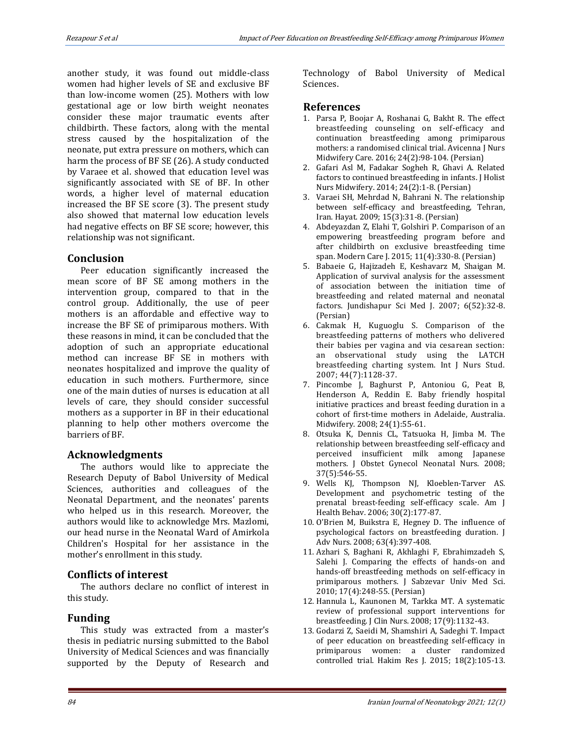another study, it was found out middle-class women had higher levels of SE and exclusive BF than low-income women (25). Mothers with low gestational age or low birth weight neonates consider these major traumatic events after childbirth. These factors, along with the mental stress caused by the hospitalization of the neonate, put extra pressure on mothers, which can harm the process of BF SE (26). A study conducted by Varaee et al. showed that education level was significantly associated with SE of BF. In other words, a higher level of maternal education increased the BF SE score (3). The present study also showed that maternal low education levels had negative effects on BF SE score; however, this relationship was not significant.

## **Conclusion**

Peer education significantly increased the mean score of BF SE among mothers in the intervention group, compared to that in the control group. Additionally, the use of peer mothers is an affordable and effective way to increase the BF SE of primiparous mothers. With these reasons in mind, it can be concluded that the adoption of such an appropriate educational method can increase BF SE in mothers with neonates hospitalized and improve the quality of education in such mothers. Furthermore, since one of the main duties of nurses is education at all levels of care, they should consider successful mothers as a supporter in BF in their educational planning to help other mothers overcome the barriers of BF.

## **Acknowledgments**

The authors would like to appreciate the Research Deputy of Babol University of Medical Sciences, authorities and colleagues of the Neonatal Department, and the neonates' parents who helped us in this research. Moreover, the authors would like to acknowledge Mrs. Mazlomi, our head nurse in the Neonatal Ward of Amirkola Children's Hospital for her assistance in the mother's enrollment in this study.

## **Conflicts of interest**

The authors declare no conflict of interest in this study.

## **Funding**

This study was extracted from a master's thesis in pediatric nursing submitted to the Babol University of Medical Sciences and was financially supported by the Deputy of Research and Technology of Babol University of Medical Sciences.

## **References**

- 1. Parsa P, Boojar A, Roshanai G, Bakht R. The effect breastfeeding counseling on self-efficacy and continuation breastfeeding among primiparous mothers: a randomised clinical trial. Avicenna J Nurs Midwifery Care. 2016; 24(2):98-104. (Persian)
- 2. Gafari Asl M, Fadakar Sogheh R, Ghavi A. Related factors to continued breastfeeding in infants. J Holist Nurs Midwifery. 2014; 24(2):1-8. (Persian)
- 3. Varaei SH, Mehrdad N, Bahrani N. The relationship between self-efficacy and breastfeeding, Tehran, Iran. Hayat. 2009; 15(3):31-8. (Persian)
- 4. Abdeyazdan Z, Elahi T, Golshiri P. Comparison of an empowering breastfeeding program before and after childbirth on exclusive breastfeeding time span. Modern Care J. 2015; 11(4):330-8. (Persian)
- 5. Babaeie G, Hajizadeh E, Keshavarz M, Shaigan M. Application of survival analysis for the assessment of association between the initiation time of breastfeeding and related maternal and neonatal factors. Jundishapur Sci Med J. 2007; 6(52):32-8. (Persian)
- 6. Cakmak H, Kuguoglu S. Comparison of the breastfeeding patterns of mothers who delivered their babies per vagina and via cesarean section: an observational study using the LATCH breastfeeding charting system. Int J Nurs Stud. 2007; 44(7):1128-37.
- 7. Pincombe J, Baghurst P, Antoniou G, Peat B, Henderson A, Reddin E. Baby friendly hospital initiative practices and breast feeding duration in a cohort of first-time mothers in Adelaide, Australia. Midwifery. 2008; 24(1):55-61.
- 8. Otsuka K, Dennis CL, Tatsuoka H, Jimba M. The relationship between breastfeeding self-efficacy and perceived insufficient milk among Japanese mothers. J Obstet Gynecol Neonatal Nurs. 2008; 37(5):546-55.
- 9. Wells KJ, Thompson NJ, Kloeblen-Tarver AS. Development and psychometric testing of the prenatal breast-feeding self-efficacy scale. Am J Health Behav. 2006; 30(2):177-87.
- 10. O'Brien M, Buikstra E, Hegney D. The influence of psychological factors on breastfeeding duration. J Adv Nurs. 2008; 63(4):397-408.
- 11. Azhari S, Baghani R, Akhlaghi F, Ebrahimzadeh S, Salehi J. Comparing the effects of hands-on and hands-off breastfeeding methods on self-efficacy in primiparous mothers. J Sabzevar Univ Med Sci. 2010; 17(4):248-55. (Persian)
- 12. Hannula L, Kaunonen M, Tarkka MT. A systematic review of professional support interventions for breastfeeding. J Clin Nurs. 2008; 17(9):1132-43.
- 13. Godarzi Z, Saeidi M, Shamshiri A, Sadeghi T. Impact of peer education on breastfeeding self-efficacy in primiparous women: a cluster randomized controlled trial. Hakim Res J. 2015; 18(2):105-13.